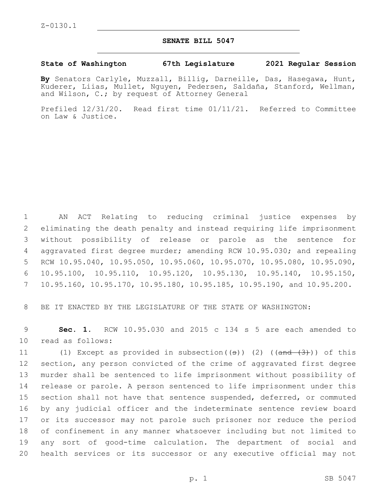## **SENATE BILL 5047**

## **State of Washington 67th Legislature 2021 Regular Session**

**By** Senators Carlyle, Muzzall, Billig, Darneille, Das, Hasegawa, Hunt, Kuderer, Liias, Mullet, Nguyen, Pedersen, Saldaña, Stanford, Wellman, and Wilson, C.; by request of Attorney General

Prefiled 12/31/20. Read first time 01/11/21. Referred to Committee on Law & Justice.

 AN ACT Relating to reducing criminal justice expenses by eliminating the death penalty and instead requiring life imprisonment without possibility of release or parole as the sentence for aggravated first degree murder; amending RCW 10.95.030; and repealing RCW 10.95.040, 10.95.050, 10.95.060, 10.95.070, 10.95.080, 10.95.090, 10.95.100, 10.95.110, 10.95.120, 10.95.130, 10.95.140, 10.95.150, 10.95.160, 10.95.170, 10.95.180, 10.95.185, 10.95.190, and 10.95.200.

BE IT ENACTED BY THE LEGISLATURE OF THE STATE OF WASHINGTON:

 **Sec. 1.** RCW 10.95.030 and 2015 c 134 s 5 are each amended to 10 read as follows:

11 (1) Except as provided in subsection( $(\theta)$ ) (2) ( $(\theta)$ ) ( $(\theta)$ )) of this section, any person convicted of the crime of aggravated first degree murder shall be sentenced to life imprisonment without possibility of release or parole. A person sentenced to life imprisonment under this section shall not have that sentence suspended, deferred, or commuted by any judicial officer and the indeterminate sentence review board or its successor may not parole such prisoner nor reduce the period of confinement in any manner whatsoever including but not limited to any sort of good-time calculation. The department of social and health services or its successor or any executive official may not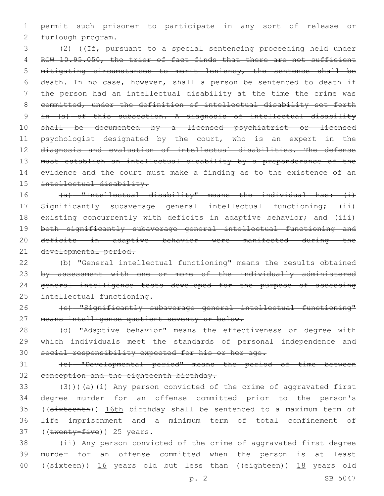1 permit such prisoner to participate in any sort of release or 2 furlough program.

 (2) ((If, pursuant to a special sentencing proceeding held under 4 RCW 10.95.050, the trier of fact finds that there are not sufficient mitigating circumstances to merit leniency, the sentence shall be death. In no case, however, shall a person be sentenced to death if the person had an intellectual disability at the time the crime was committed, under the definition of intellectual disability set forth in (a) of this subsection. A diagnosis of intellectual disability shall be documented by a licensed psychiatrist or licensed 11 psychologist designated by the court, who is an expert in the diagnosis and evaluation of intellectual disabilities. The defense must establish an intellectual disability by a preponderance of the 14 evidence and the court must make a finding as to the existence of an intellectual disability.

16 (a) "Intellectual disability" means the individual has: (i) 17 Significantly subaverage general intellectual functioning; (ii) 18 existing concurrently with deficits in adaptive behavior; and (iii) 19 both significantly subaverage general intellectual functioning and 20 deficits in adaptive behavior were manifested during the 21 developmental period.

22 (b) "General intellectual functioning" means the results obtained 23 by assessment with one or more of the individually administered 24 general intelligence tests developed for the purpose of assessing 25 intellectual functioning.

26 (c) "Significantly subaverage general intellectual functioning" 27 means intelligence quotient seventy or below.

28 (d) "Adaptive behavior" means the effectiveness or degree with 29 which individuals meet the standards of personal independence and 30 social responsibility expected for his or her age.

31 (e) "Developmental period" means the period of time between 32 conception and the eighteenth birthday.

 $(33 + (3))$ )(a)(i) Any person convicted of the crime of aggravated first 34 degree murder for an offense committed prior to the person's 35 ((sixteenth)) 16th birthday shall be sentenced to a maximum term of 36 life imprisonment and a minimum term of total confinement of 37 (( $t$ wenty-five)) 25 years.

38 (ii) Any person convicted of the crime of aggravated first degree 39 murder for an offense committed when the person is at least 40 ((sixteen)) 16 years old but less than ((eighteen)) 18 years old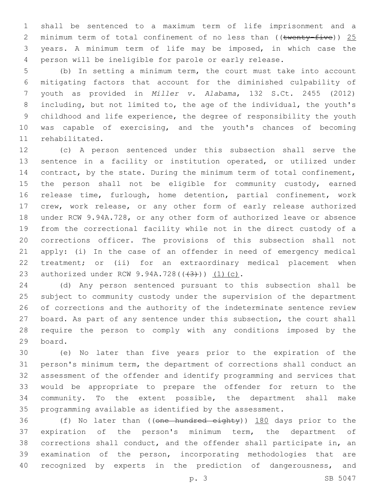shall be sentenced to a maximum term of life imprisonment and a 2 minimum term of total confinement of no less than  $((\text{twenty-five}))$  25 years. A minimum term of life may be imposed, in which case the person will be ineligible for parole or early release.

 (b) In setting a minimum term, the court must take into account mitigating factors that account for the diminished culpability of youth as provided in *Miller v. Alabama*, 132 S.Ct. 2455 (2012) including, but not limited to, the age of the individual, the youth's childhood and life experience, the degree of responsibility the youth was capable of exercising, and the youth's chances of becoming 11 rehabilitated.

 (c) A person sentenced under this subsection shall serve the sentence in a facility or institution operated, or utilized under 14 contract, by the state. During the minimum term of total confinement, 15 the person shall not be eligible for community custody, earned release time, furlough, home detention, partial confinement, work crew, work release, or any other form of early release authorized under RCW 9.94A.728, or any other form of authorized leave or absence from the correctional facility while not in the direct custody of a corrections officer. The provisions of this subsection shall not apply: (i) In the case of an offender in need of emergency medical treatment; or (ii) for an extraordinary medical placement when 23 authorized under RCW 9.94A.728(((43))) (1)(c).

 (d) Any person sentenced pursuant to this subsection shall be subject to community custody under the supervision of the department of corrections and the authority of the indeterminate sentence review board. As part of any sentence under this subsection, the court shall require the person to comply with any conditions imposed by the 29 board.

 (e) No later than five years prior to the expiration of the person's minimum term, the department of corrections shall conduct an assessment of the offender and identify programming and services that would be appropriate to prepare the offender for return to the community. To the extent possible, the department shall make programming available as identified by the assessment.

36 (f) No later than ((one hundred eighty)) 180 days prior to the expiration of the person's minimum term, the department of corrections shall conduct, and the offender shall participate in, an examination of the person, incorporating methodologies that are recognized by experts in the prediction of dangerousness, and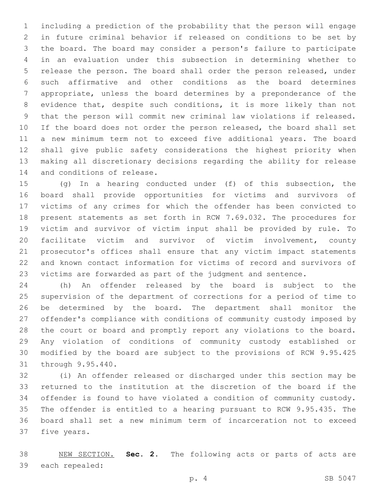including a prediction of the probability that the person will engage in future criminal behavior if released on conditions to be set by the board. The board may consider a person's failure to participate in an evaluation under this subsection in determining whether to release the person. The board shall order the person released, under such affirmative and other conditions as the board determines appropriate, unless the board determines by a preponderance of the evidence that, despite such conditions, it is more likely than not that the person will commit new criminal law violations if released. 10 If the board does not order the person released, the board shall set a new minimum term not to exceed five additional years. The board shall give public safety considerations the highest priority when making all discretionary decisions regarding the ability for release 14 and conditions of release.

 (g) In a hearing conducted under (f) of this subsection, the board shall provide opportunities for victims and survivors of victims of any crimes for which the offender has been convicted to present statements as set forth in RCW 7.69.032. The procedures for victim and survivor of victim input shall be provided by rule. To facilitate victim and survivor of victim involvement, county prosecutor's offices shall ensure that any victim impact statements and known contact information for victims of record and survivors of victims are forwarded as part of the judgment and sentence.

 (h) An offender released by the board is subject to the supervision of the department of corrections for a period of time to be determined by the board. The department shall monitor the offender's compliance with conditions of community custody imposed by the court or board and promptly report any violations to the board. Any violation of conditions of community custody established or modified by the board are subject to the provisions of RCW 9.95.425 31 through 9.95.440.

 (i) An offender released or discharged under this section may be returned to the institution at the discretion of the board if the offender is found to have violated a condition of community custody. The offender is entitled to a hearing pursuant to RCW 9.95.435. The board shall set a new minimum term of incarceration not to exceed 37 five years.

 NEW SECTION. **Sec. 2.** The following acts or parts of acts are 39 each repealed: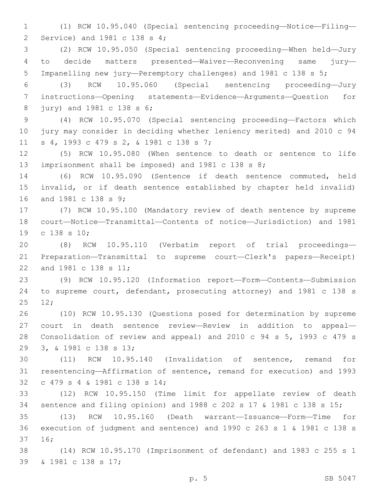(1) RCW 10.95.040 (Special sentencing proceeding—Notice—Filing— 2 Service) and 1981 c 138 s 4;

 (2) RCW 10.95.050 (Special sentencing proceeding—When held—Jury to decide matters presented—Waiver—Reconvening same jury— Impanelling new jury—Peremptory challenges) and 1981 c 138 s 5;

 (3) RCW 10.95.060 (Special sentencing proceeding—Jury instructions—Opening statements—Evidence—Arguments—Question for 8 jury) and 1981 c 138 s 6;

 (4) RCW 10.95.070 (Special sentencing proceeding—Factors which jury may consider in deciding whether leniency merited) and 2010 c 94 11 s 4, 1993 c 479 s 2, & 1981 c 138 s 7;

 (5) RCW 10.95.080 (When sentence to death or sentence to life imprisonment shall be imposed) and 1981 c 138 s 8;

 (6) RCW 10.95.090 (Sentence if death sentence commuted, held invalid, or if death sentence established by chapter held invalid) 16 and 1981 c 138 s 9;

 (7) RCW 10.95.100 (Mandatory review of death sentence by supreme court—Notice—Transmittal—Contents of notice—Jurisdiction) and 1981 19 c 138 s 10;

 (8) RCW 10.95.110 (Verbatim report of trial proceedings— Preparation—Transmittal to supreme court—Clerk's papers—Receipt) 22 and 1981 c 138 s 11;

 (9) RCW 10.95.120 (Information report—Form—Contents—Submission to supreme court, defendant, prosecuting attorney) and 1981 c 138 s  $25 \t 12;$ 

 (10) RCW 10.95.130 (Questions posed for determination by supreme court in death sentence review—Review in addition to appeal— Consolidation of review and appeal) and 2010 c 94 s 5, 1993 c 479 s 3, & 1981 c 138 s 13;29

 (11) RCW 10.95.140 (Invalidation of sentence, remand for resentencing—Affirmation of sentence, remand for execution) and 1993 32 c 479 s 4 & 1981 c 138 s 14;

 (12) RCW 10.95.150 (Time limit for appellate review of death sentence and filing opinion) and 1988 c 202 s 17 & 1981 c 138 s 15;

 (13) RCW 10.95.160 (Death warrant—Issuance—Form—Time for execution of judgment and sentence) and 1990 c 263 s 1 & 1981 c 138 s 16;37

 (14) RCW 10.95.170 (Imprisonment of defendant) and 1983 c 255 s 1 39 & 1981 c 138 s 17;